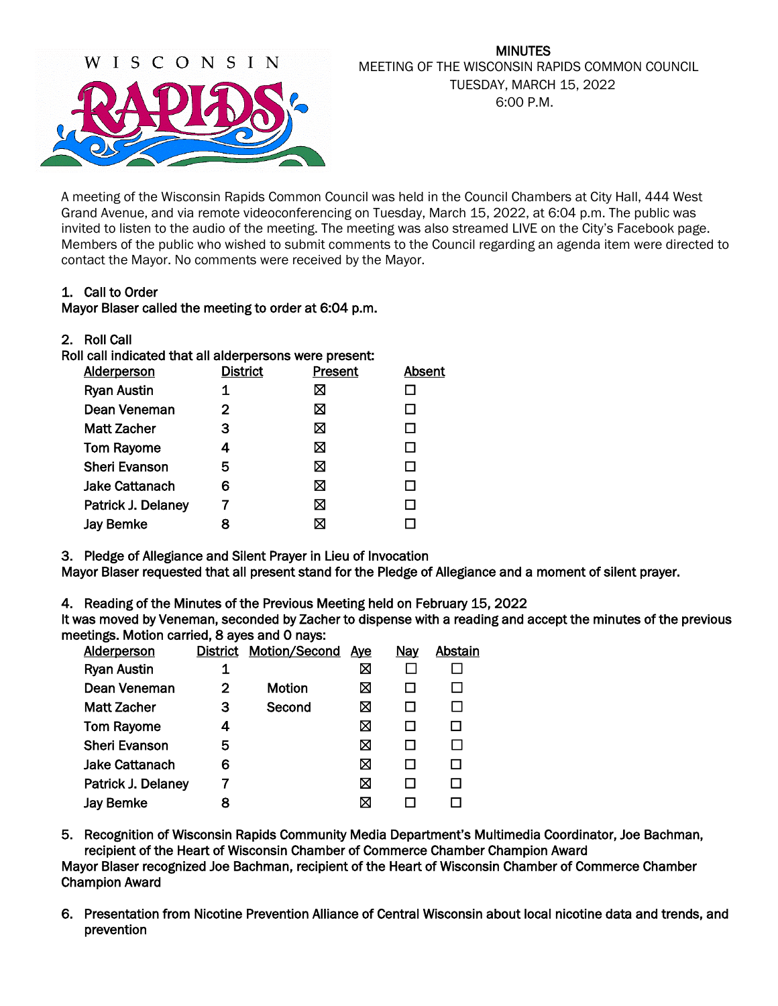

# MINUTES MEETING OF THE WISCONSIN RAPIDS COMMON COUNCIL TUESDAY, MARCH 15, 2022 6:00 P.M.

A meeting of the Wisconsin Rapids Common Council was held in the Council Chambers at City Hall, 444 West Grand Avenue, and via remote videoconferencing on Tuesday, March 15, 2022, at 6:04 p.m. The public was invited to listen to the audio of the meeting. The meeting was also streamed LIVE on the City's Facebook page. Members of the public who wished to submit comments to the Council regarding an agenda item were directed to contact the Mayor. No comments were received by the Mayor.

# 1. Call to Order

# Mayor Blaser called the meeting to order at 6:04 p.m.

| <b>Roll Call</b><br>2. |  |
|------------------------|--|
|------------------------|--|

| Roll call indicated that all alderpersons were present: |                 |         |        |  |  |  |  |  |
|---------------------------------------------------------|-----------------|---------|--------|--|--|--|--|--|
| <b>Alderperson</b>                                      | <b>District</b> | Present | Absent |  |  |  |  |  |
| <b>Ryan Austin</b>                                      |                 |         |        |  |  |  |  |  |
| Dean Veneman                                            | 2               | ⊠       |        |  |  |  |  |  |
| Matt Zacher                                             | з               | ⊠       |        |  |  |  |  |  |
| <b>Tom Rayome</b>                                       | 4               | ⊠       |        |  |  |  |  |  |
| <b>Sheri Evanson</b>                                    | 5               | ⊠       |        |  |  |  |  |  |
| Jake Cattanach                                          | 6               | ⋈       |        |  |  |  |  |  |
| Patrick J. Delaney                                      |                 | ⋈       |        |  |  |  |  |  |
| <b>Jay Bemke</b>                                        |                 |         |        |  |  |  |  |  |
|                                                         |                 |         |        |  |  |  |  |  |

3. Pledge of Allegiance and Silent Prayer in Lieu of Invocation

Mayor Blaser requested that all present stand for the Pledge of Allegiance and a moment of silent prayer.

4. Reading of the Minutes of the Previous Meeting held on February 15, 2022

It was moved by Veneman, seconded by Zacher to dispense with a reading and accept the minutes of the previous meetings. Motion carried, 8 ayes and 0 nays:

| <b>Alderperson</b>    | <b>District</b> | <b>Motion/Second</b> | <u>Aye</u> | <b>Nay</b> | Abstain |
|-----------------------|-----------------|----------------------|------------|------------|---------|
|                       |                 |                      |            |            |         |
| <b>Ryan Austin</b>    |                 |                      | ⊠          |            |         |
| Dean Veneman          | 2               | Motion               | ⊠          |            |         |
| <b>Matt Zacher</b>    | 3               | Second               | ⊠          |            | П       |
| <b>Tom Rayome</b>     | 4               |                      | ⊠          |            |         |
| <b>Sheri Evanson</b>  | 5               |                      | ⊠          |            |         |
| <b>Jake Cattanach</b> | 6               |                      | ⊠          |            |         |
| Patrick J. Delaney    |                 |                      | ⊠          |            |         |
| <b>Jay Bemke</b>      | 8               |                      | ⊠          |            |         |
|                       |                 |                      |            |            |         |

5. Recognition of Wisconsin Rapids Community Media Department's Multimedia Coordinator, Joe Bachman, recipient of the Heart of Wisconsin Chamber of Commerce Chamber Champion Award Mayor Blaser recognized Joe Bachman, recipient of the Heart of Wisconsin Chamber of Commerce Chamber Champion Award

6. Presentation from Nicotine Prevention Alliance of Central Wisconsin about local nicotine data and trends, and prevention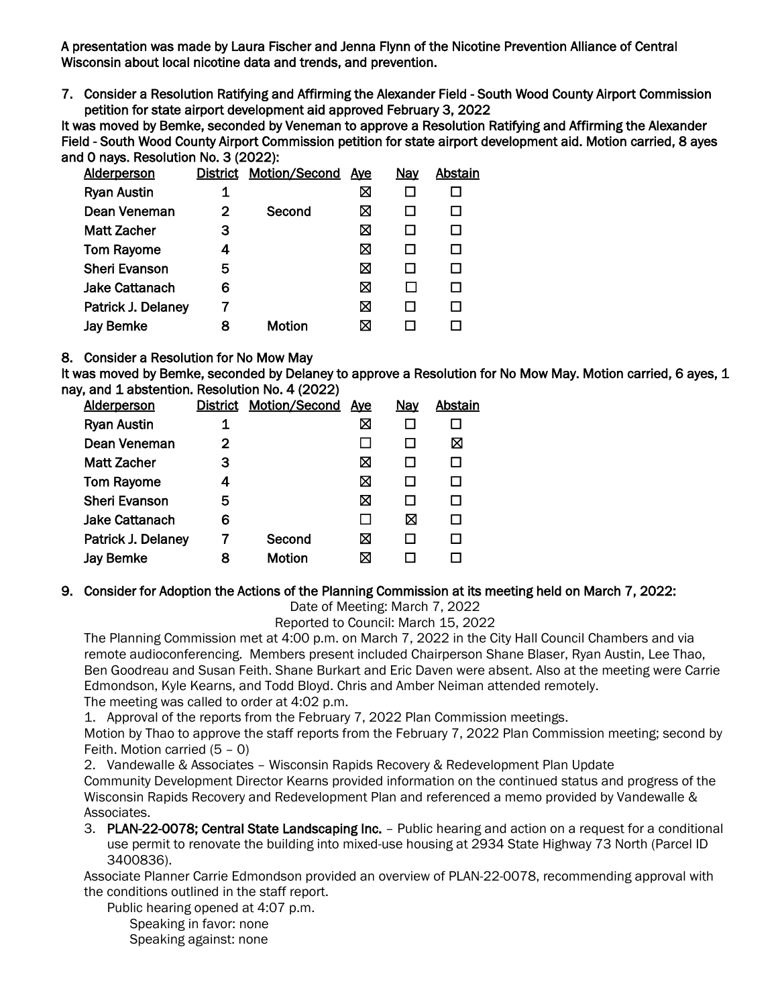A presentation was made by Laura Fischer and Jenna Flynn of the Nicotine Prevention Alliance of Central Wisconsin about local nicotine data and trends, and prevention.

7. Consider a Resolution Ratifying and Affirming the Alexander Field - South Wood County Airport Commission petition for state airport development aid approved February 3, 2022

It was moved by Bemke, seconded by Veneman to approve a Resolution Ratifying and Affirming the Alexander Field - South Wood County Airport Commission petition for state airport development aid. Motion carried, 8 ayes and 0 nays. Resolution No. 3 (2022):

| <b>Alderperson</b>    |   | District Motion/Second | <u>Aye</u> | <b>Nay</b> | Abstain |
|-----------------------|---|------------------------|------------|------------|---------|
| <b>Ryan Austin</b>    | 1 |                        | ⊠          |            |         |
| Dean Veneman          | 2 | Second                 | ⊠          |            |         |
| Matt Zacher           | З |                        | ⊠          |            |         |
| <b>Tom Rayome</b>     | 4 |                        | ⊠          |            |         |
| <b>Sheri Evanson</b>  | 5 |                        | ⊠          |            |         |
| <b>Jake Cattanach</b> | 6 |                        | ⊠          |            |         |
| Patrick J. Delaney    | 7 |                        | ⊠          |            |         |
| <b>Jay Bemke</b>      | 8 | <b>Motion</b>          | ⊠          |            |         |
|                       |   |                        |            |            |         |

#### 8. Consider a Resolution for No Mow May

It was moved by Bemke, seconded by Delaney to approve a Resolution for No Mow May. Motion carried, 6 ayes, 1 nay, and 1 abstention. Resolution No. 4 (2022)

| <b>Alderperson</b>   |   | <b>District Motion/Second</b> | <u>Aye</u> | <u>Nay</u> | Abstain |
|----------------------|---|-------------------------------|------------|------------|---------|
| <b>Ryan Austin</b>   |   |                               | ⊠          |            |         |
| Dean Veneman         | 2 |                               |            |            | ⊠       |
| Matt Zacher          | з |                               | ⊠          |            |         |
| <b>Tom Rayome</b>    | 4 |                               | ⊠          |            |         |
| <b>Sheri Evanson</b> | 5 |                               | ⊠          |            |         |
| Jake Cattanach       | 6 |                               |            | ⊠          |         |
| Patrick J. Delaney   |   | Second                        | ⊠          |            |         |
| <b>Jay Bemke</b>     | 8 | <b>Motion</b>                 | ⊠          |            |         |
|                      |   |                               |            |            |         |

#### 9. Consider for Adoption the Actions of the Planning Commission at its meeting held on March 7, 2022:

Date of Meeting: March 7, 2022

Reported to Council: March 15, 2022

The Planning Commission met at 4:00 p.m. on March 7, 2022 in the City Hall Council Chambers and via remote audioconferencing. Members present included Chairperson Shane Blaser, Ryan Austin, Lee Thao, Ben Goodreau and Susan Feith. Shane Burkart and Eric Daven were absent. Also at the meeting were Carrie Edmondson, Kyle Kearns, and Todd Bloyd. Chris and Amber Neiman attended remotely. The meeting was called to order at 4:02 p.m.

1. Approval of the reports from the February 7, 2022 Plan Commission meetings.

Motion by Thao to approve the staff reports from the February 7, 2022 Plan Commission meeting; second by Feith. Motion carried (5 – 0)

2. Vandewalle & Associates – Wisconsin Rapids Recovery & Redevelopment Plan Update

Community Development Director Kearns provided information on the continued status and progress of the Wisconsin Rapids Recovery and Redevelopment Plan and referenced a memo provided by Vandewalle & Associates.

3. PLAN-22-0078; Central State Landscaping Inc. – Public hearing and action on a request for a conditional use permit to renovate the building into mixed-use housing at 2934 State Highway 73 North (Parcel ID 3400836).

Associate Planner Carrie Edmondson provided an overview of PLAN-22-0078, recommending approval with the conditions outlined in the staff report.

Public hearing opened at 4:07 p.m. Speaking in favor: none Speaking against: none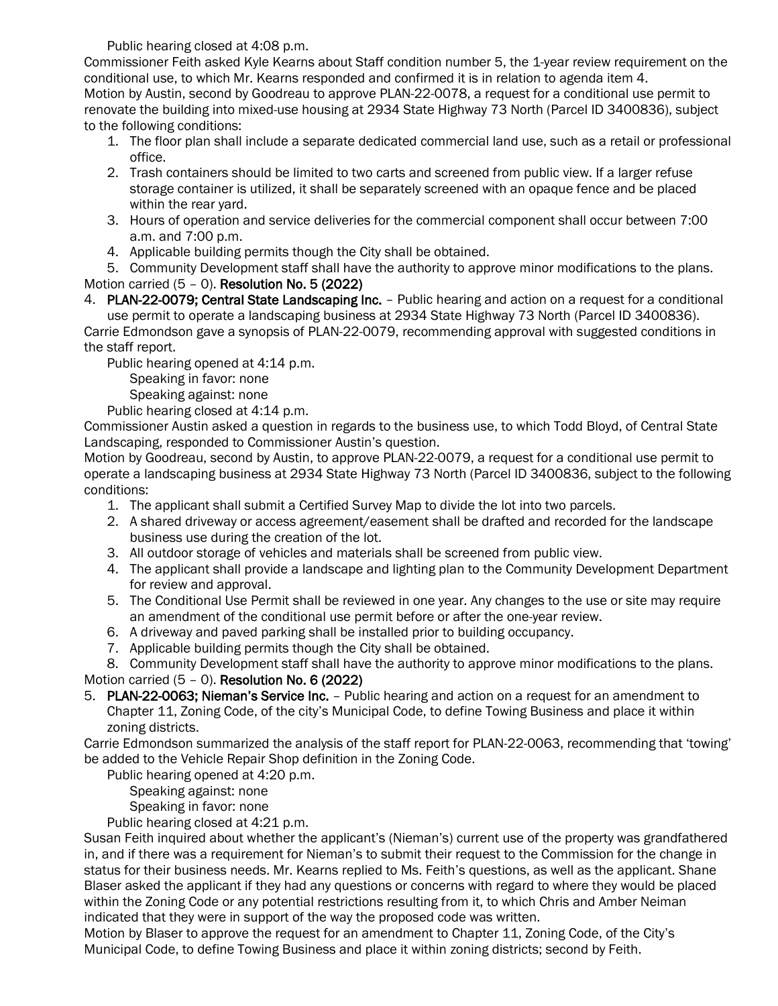Public hearing closed at 4:08 p.m.

Commissioner Feith asked Kyle Kearns about Staff condition number 5, the 1-year review requirement on the conditional use, to which Mr. Kearns responded and confirmed it is in relation to agenda item 4. Motion by Austin, second by Goodreau to approve PLAN-22-0078, a request for a conditional use permit to renovate the building into mixed-use housing at 2934 State Highway 73 North (Parcel ID 3400836), subject to the following conditions:

- 1. The floor plan shall include a separate dedicated commercial land use, such as a retail or professional office.
- 2. Trash containers should be limited to two carts and screened from public view. If a larger refuse storage container is utilized, it shall be separately screened with an opaque fence and be placed within the rear yard.
- 3. Hours of operation and service deliveries for the commercial component shall occur between 7:00 a.m. and 7:00 p.m.
- 4. Applicable building permits though the City shall be obtained.

5. Community Development staff shall have the authority to approve minor modifications to the plans. Motion carried (5 – 0). Resolution No. 5 (2022)

4. PLAN-22-0079; Central State Landscaping Inc. - Public hearing and action on a request for a conditional use permit to operate a landscaping business at 2934 State Highway 73 North (Parcel ID 3400836).

Carrie Edmondson gave a synopsis of PLAN-22-0079, recommending approval with suggested conditions in the staff report.

Public hearing opened at 4:14 p.m.

Speaking in favor: none

Speaking against: none

Public hearing closed at 4:14 p.m.

Commissioner Austin asked a question in regards to the business use, to which Todd Bloyd, of Central State Landscaping, responded to Commissioner Austin's question.

Motion by Goodreau, second by Austin, to approve PLAN-22-0079, a request for a conditional use permit to operate a landscaping business at 2934 State Highway 73 North (Parcel ID 3400836, subject to the following conditions:

- 1. The applicant shall submit a Certified Survey Map to divide the lot into two parcels.
- 2. A shared driveway or access agreement/easement shall be drafted and recorded for the landscape business use during the creation of the lot.
- 3. All outdoor storage of vehicles and materials shall be screened from public view.
- 4. The applicant shall provide a landscape and lighting plan to the Community Development Department for review and approval.
- 5. The Conditional Use Permit shall be reviewed in one year. Any changes to the use or site may require an amendment of the conditional use permit before or after the one-year review.
- 6. A driveway and paved parking shall be installed prior to building occupancy.
- 7. Applicable building permits though the City shall be obtained.

8. Community Development staff shall have the authority to approve minor modifications to the plans.

Motion carried (5 – 0). Resolution No. 6 (2022)

5. PLAN-22-0063; Nieman's Service Inc. – Public hearing and action on a request for an amendment to Chapter 11, Zoning Code, of the city's Municipal Code, to define Towing Business and place it within zoning districts.

Carrie Edmondson summarized the analysis of the staff report for PLAN-22-0063, recommending that 'towing' be added to the Vehicle Repair Shop definition in the Zoning Code.

Public hearing opened at 4:20 p.m.

Speaking against: none

Speaking in favor: none

Public hearing closed at 4:21 p.m.

Susan Feith inquired about whether the applicant's (Nieman's) current use of the property was grandfathered in, and if there was a requirement for Nieman's to submit their request to the Commission for the change in status for their business needs. Mr. Kearns replied to Ms. Feith's questions, as well as the applicant. Shane Blaser asked the applicant if they had any questions or concerns with regard to where they would be placed within the Zoning Code or any potential restrictions resulting from it, to which Chris and Amber Neiman indicated that they were in support of the way the proposed code was written.

Motion by Blaser to approve the request for an amendment to Chapter 11, Zoning Code, of the City's Municipal Code, to define Towing Business and place it within zoning districts; second by Feith.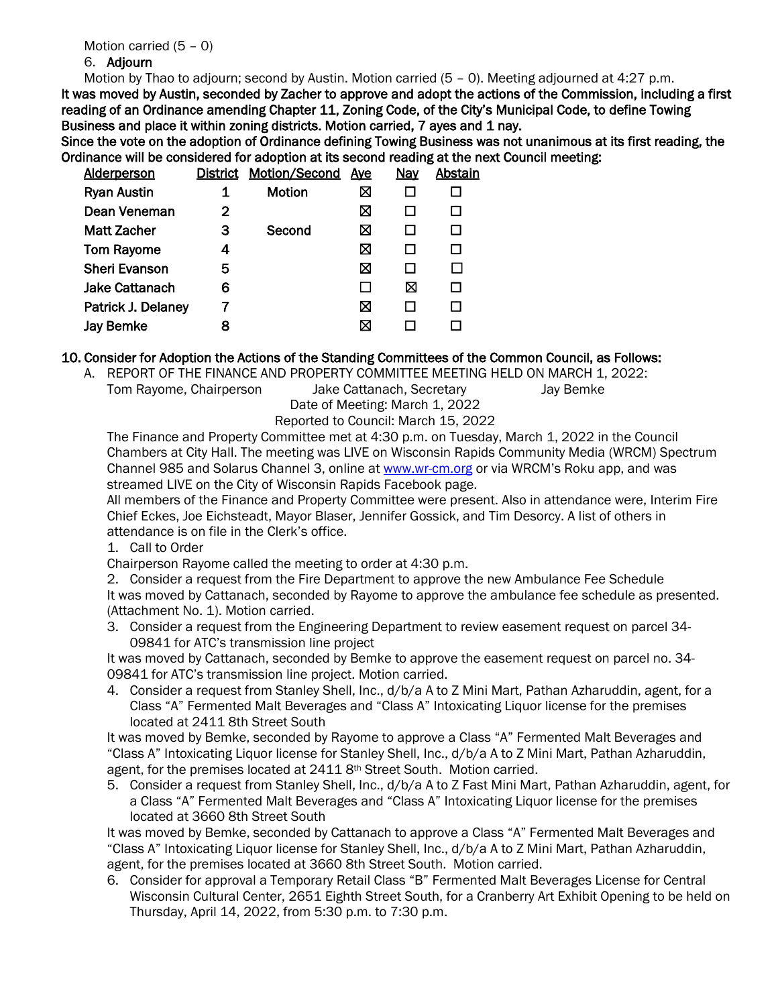# 6. Adjourn

Motion by Thao to adjourn; second by Austin. Motion carried (5 – 0). Meeting adjourned at 4:27 p.m.

It was moved by Austin, seconded by Zacher to approve and adopt the actions of the Commission, including a first reading of an Ordinance amending Chapter 11, Zoning Code, of the City's Municipal Code, to define Towing Business and place it within zoning districts. Motion carried, 7 ayes and 1 nay.

Since the vote on the adoption of Ordinance defining Towing Business was not unanimous at its first reading, the Ordinance will be considered for adoption at its second reading at the next Council meeting:

| <b>Alderperson</b>    |   | District Motion/Second | <u>Aye</u> | <b>Nay</b> | Abstain |
|-----------------------|---|------------------------|------------|------------|---------|
| <b>Ryan Austin</b>    |   | <b>Motion</b>          | ⊠          |            |         |
| Dean Veneman          | 2 |                        | ⊠          |            |         |
| Matt Zacher           | З | Second                 | ⊠          |            |         |
| <b>Tom Rayome</b>     | 4 |                        | ⊠          |            |         |
| <b>Sheri Evanson</b>  | 5 |                        | ⊠          |            |         |
| <b>Jake Cattanach</b> | 6 |                        |            | ⊠          |         |
| Patrick J. Delaney    |   |                        | ⊠          |            |         |
| <b>Jay Bemke</b>      | 8 |                        | ⊠          |            |         |
|                       |   |                        |            |            |         |

#### 10. Consider for Adoption the Actions of the Standing Committees of the Common Council, as Follows:

A. REPORT OF THE FINANCE AND PROPERTY COMMITTEE MEETING HELD ON MARCH 1, 2022: Tom Rayome, Chairperson Jake Cattanach, Secretary Jay Bemke

Date of Meeting: March 1, 2022

Reported to Council: March 15, 2022

The Finance and Property Committee met at 4:30 p.m. on Tuesday, March 1, 2022 in the Council Chambers at City Hall. The meeting was LIVE on Wisconsin Rapids Community Media (WRCM) Spectrum Channel 985 and Solarus Channel 3, online a[t www.wr-cm.org](http://www.wr-cm.org/) or via WRCM's Roku app, and was streamed LIVE on the City of Wisconsin Rapids Facebook page.

All members of the Finance and Property Committee were present. Also in attendance were, Interim Fire Chief Eckes, Joe Eichsteadt, Mayor Blaser, Jennifer Gossick, and Tim Desorcy. A list of others in attendance is on file in the Clerk's office.

1. Call to Order

Chairperson Rayome called the meeting to order at 4:30 p.m.

2. Consider a request from the Fire Department to approve the new Ambulance Fee Schedule It was moved by Cattanach, seconded by Rayome to approve the ambulance fee schedule as presented. (Attachment No. 1). Motion carried.

3. Consider a request from the Engineering Department to review easement request on parcel 34- 09841 for ATC's transmission line project

It was moved by Cattanach, seconded by Bemke to approve the easement request on parcel no. 34- 09841 for ATC's transmission line project. Motion carried.

4. Consider a request from Stanley Shell, Inc., d/b/a A to Z Mini Mart, Pathan Azharuddin, agent, for a Class "A" Fermented Malt Beverages and "Class A" Intoxicating Liquor license for the premises located at 2411 8th Street South

It was moved by Bemke, seconded by Rayome to approve a Class "A" Fermented Malt Beverages and "Class A" Intoxicating Liquor license for Stanley Shell, Inc., d/b/a A to Z Mini Mart, Pathan Azharuddin, agent, for the premises located at 2411 8th Street South. Motion carried.

5. Consider a request from Stanley Shell, Inc., d/b/a A to Z Fast Mini Mart, Pathan Azharuddin, agent, for a Class "A" Fermented Malt Beverages and "Class A" Intoxicating Liquor license for the premises located at 3660 8th Street South

It was moved by Bemke, seconded by Cattanach to approve a Class "A" Fermented Malt Beverages and "Class A" Intoxicating Liquor license for Stanley Shell, Inc., d/b/a A to Z Mini Mart, Pathan Azharuddin, agent, for the premises located at 3660 8th Street South. Motion carried.

6. Consider for approval a Temporary Retail Class "B" Fermented Malt Beverages License for Central Wisconsin Cultural Center, 2651 Eighth Street South, for a Cranberry Art Exhibit Opening to be held on Thursday, April 14, 2022, from 5:30 p.m. to 7:30 p.m.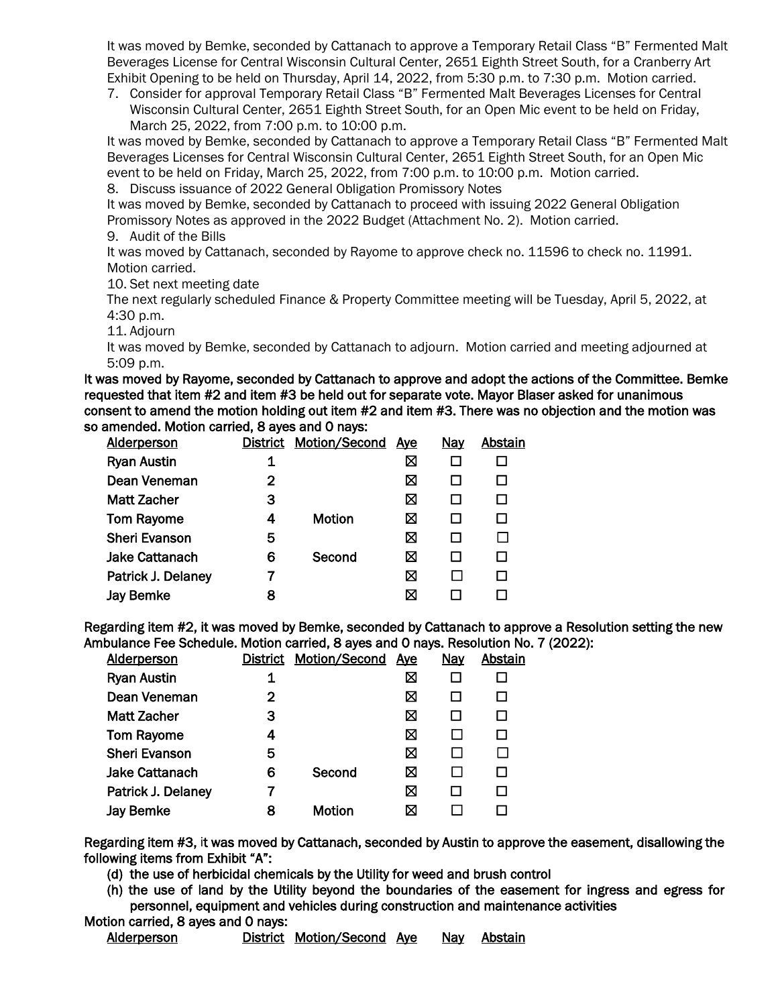It was moved by Bemke, seconded by Cattanach to approve a Temporary Retail Class "B" Fermented Malt Beverages License for Central Wisconsin Cultural Center, 2651 Eighth Street South, for a Cranberry Art Exhibit Opening to be held on Thursday, April 14, 2022, from 5:30 p.m. to 7:30 p.m. Motion carried.

7. Consider for approval Temporary Retail Class "B" Fermented Malt Beverages Licenses for Central Wisconsin Cultural Center, 2651 Eighth Street South, for an Open Mic event to be held on Friday, March 25, 2022, from 7:00 p.m. to 10:00 p.m.

It was moved by Bemke, seconded by Cattanach to approve a Temporary Retail Class "B" Fermented Malt Beverages Licenses for Central Wisconsin Cultural Center, 2651 Eighth Street South, for an Open Mic event to be held on Friday, March 25, 2022, from 7:00 p.m. to 10:00 p.m. Motion carried.

8. Discuss issuance of 2022 General Obligation Promissory Notes

It was moved by Bemke, seconded by Cattanach to proceed with issuing 2022 General Obligation Promissory Notes as approved in the 2022 Budget (Attachment No. 2). Motion carried.

9. Audit of the Bills

It was moved by Cattanach, seconded by Rayome to approve check no. 11596 to check no. 11991. Motion carried.

10. Set next meeting date

The next regularly scheduled Finance & Property Committee meeting will be Tuesday, April 5, 2022, at 4:30 p.m.

11. Adjourn

It was moved by Bemke, seconded by Cattanach to adjourn. Motion carried and meeting adjourned at 5:09 p.m.

It was moved by Rayome, seconded by Cattanach to approve and adopt the actions of the Committee. Bemke requested that item #2 and item #3 be held out for separate vote. Mayor Blaser asked for unanimous consent to amend the motion holding out item #2 and item #3. There was no objection and the motion was so amended. Motion carried, 8 ayes and 0 nays:

| <b>Alderperson</b>    |   | District Motion/Second | <u>Aye</u> | Nay | Abstain |
|-----------------------|---|------------------------|------------|-----|---------|
| <b>Ryan Austin</b>    | 1 |                        | ⊠          |     |         |
| Dean Veneman          | 2 |                        | ⊠          |     |         |
| <b>Matt Zacher</b>    | з |                        | ⊠          |     |         |
| <b>Tom Rayome</b>     | 4 | <b>Motion</b>          | ⊠          |     |         |
| <b>Sheri Evanson</b>  | 5 |                        | ⊠          |     |         |
| <b>Jake Cattanach</b> | 6 | Second                 | ⊠          |     |         |
| Patrick J. Delaney    |   |                        | ⊠          |     |         |
| <b>Jay Bemke</b>      | 8 |                        | ⊠          |     |         |
|                       |   |                        |            |     |         |

Regarding item #2, it was moved by Bemke, seconded by Cattanach to approve a Resolution setting the new Ambulance Fee Schedule. Motion carried, 8 ayes and 0 nays. Resolution No. 7 (2022):

| <b>Alderperson</b>    | <b>District</b> | Motion/Second | Ave | <u>Nay</u>   | Abstain |
|-----------------------|-----------------|---------------|-----|--------------|---------|
| <b>Ryan Austin</b>    | 1               |               | ⊠   |              |         |
| Dean Veneman          | 2               |               | ⊠   |              | П       |
| <b>Matt Zacher</b>    | 3               |               | ⊠   | ⊔            | □       |
| <b>Tom Rayome</b>     | 4               |               | ⊠   |              | П       |
| <b>Sheri Evanson</b>  | 5               |               | ⊠   |              |         |
| <b>Jake Cattanach</b> | 6               | Second        | ⊠   |              | П       |
| Patrick J. Delaney    | 7               |               | ⊠   | $\mathsf{L}$ | П       |
| <b>Jay Bemke</b>      | 8               | <b>Motion</b> | ⊠   |              |         |
|                       |                 |               |     |              |         |

Regarding item #3, it was moved by Cattanach, seconded by Austin to approve the easement, disallowing the following items from Exhibit "A":

(d) the use of herbicidal chemicals by the Utility for weed and brush control

(h) the use of land by the Utility beyond the boundaries of the easement for ingress and egress for personnel, equipment and vehicles during construction and maintenance activities

Motion carried, 8 ayes and 0 nays: Alderperson **District Motion/Second Aye** Nay Abstain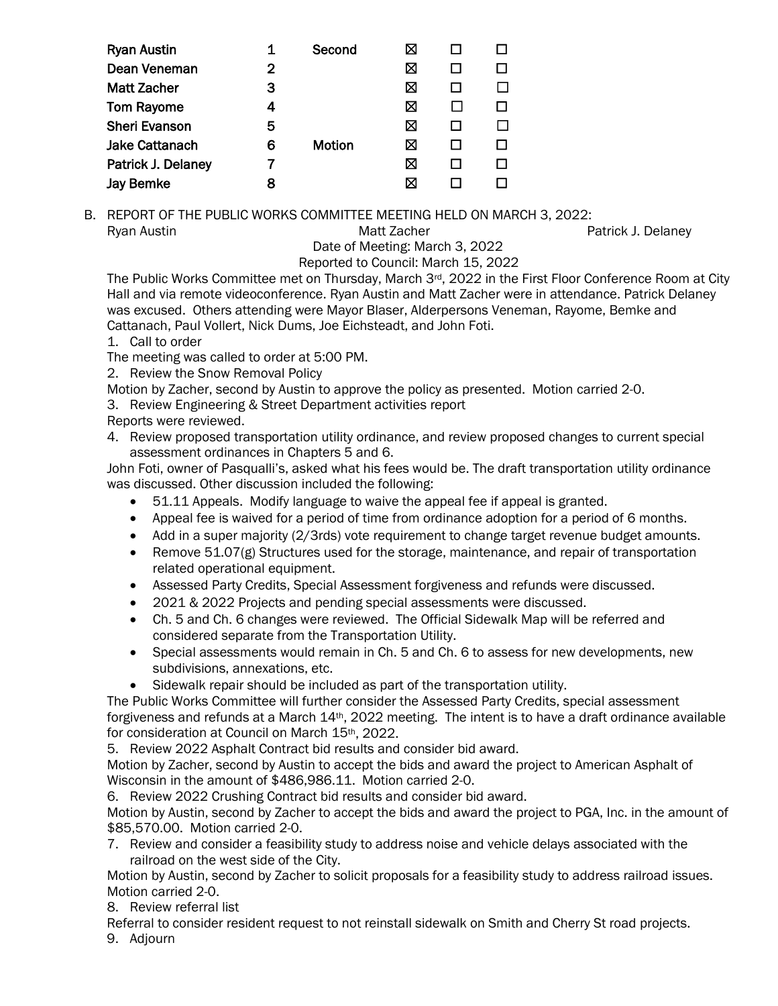| <b>Ryan Austin</b>    | 1 | Second        | ⊠ |  |
|-----------------------|---|---------------|---|--|
| Dean Veneman          | 2 |               | ⊠ |  |
| <b>Matt Zacher</b>    | 3 |               | ⊠ |  |
| <b>Tom Rayome</b>     | 4 |               | ⊠ |  |
| <b>Sheri Evanson</b>  | 5 |               | ⊠ |  |
| <b>Jake Cattanach</b> | 6 | <b>Motion</b> | ⊠ |  |
| Patrick J. Delaney    | 7 |               | ⊠ |  |
| <b>Jay Bemke</b>      | 8 |               | ⊠ |  |

B. REPORT OF THE PUBLIC WORKS COMMITTEE MEETING HELD ON MARCH 3, 2022: Ryan Austin **Matt Zacher** Patrick J. Delaney Matt Zacher **Patrick J. Delaney** 

#### Date of Meeting: March 3, 2022 Reported to Council: March 15, 2022

The Public Works Committee met on Thursday, March 3rd, 2022 in the First Floor Conference Room at City Hall and via remote videoconference. Ryan Austin and Matt Zacher were in attendance. Patrick Delaney was excused. Others attending were Mayor Blaser, Alderpersons Veneman, Rayome, Bemke and Cattanach, Paul Vollert, Nick Dums, Joe Eichsteadt, and John Foti.

1. Call to order

The meeting was called to order at 5:00 PM.

2. Review the Snow Removal Policy

Motion by Zacher, second by Austin to approve the policy as presented. Motion carried 2-0.

3. Review Engineering & Street Department activities report

Reports were reviewed.

4. Review proposed transportation utility ordinance, and review proposed changes to current special assessment ordinances in Chapters 5 and 6.

John Foti, owner of Pasqualli's, asked what his fees would be. The draft transportation utility ordinance was discussed. Other discussion included the following:

- 51.11 Appeals. Modify language to waive the appeal fee if appeal is granted.
- Appeal fee is waived for a period of time from ordinance adoption for a period of 6 months.
- Add in a super majority (2/3rds) vote requirement to change target revenue budget amounts.
- Remove  $51.07(g)$  Structures used for the storage, maintenance, and repair of transportation related operational equipment.
- Assessed Party Credits, Special Assessment forgiveness and refunds were discussed.
- 2021 & 2022 Projects and pending special assessments were discussed.
- Ch. 5 and Ch. 6 changes were reviewed. The Official Sidewalk Map will be referred and considered separate from the Transportation Utility.
- Special assessments would remain in Ch. 5 and Ch. 6 to assess for new developments, new subdivisions, annexations, etc.
- Sidewalk repair should be included as part of the transportation utility.

The Public Works Committee will further consider the Assessed Party Credits, special assessment forgiveness and refunds at a March  $14$ <sup>th</sup>, 2022 meeting. The intent is to have a draft ordinance available for consideration at Council on March 15<sup>th</sup>, 2022.

5. Review 2022 Asphalt Contract bid results and consider bid award.

Motion by Zacher, second by Austin to accept the bids and award the project to American Asphalt of Wisconsin in the amount of \$486,986.11. Motion carried 2-0.

6. Review 2022 Crushing Contract bid results and consider bid award.

Motion by Austin, second by Zacher to accept the bids and award the project to PGA, Inc. in the amount of \$85,570.00. Motion carried 2-0.

7. Review and consider a feasibility study to address noise and vehicle delays associated with the railroad on the west side of the City.

Motion by Austin, second by Zacher to solicit proposals for a feasibility study to address railroad issues. Motion carried 2-0.

8. Review referral list

Referral to consider resident request to not reinstall sidewalk on Smith and Cherry St road projects. 9. Adjourn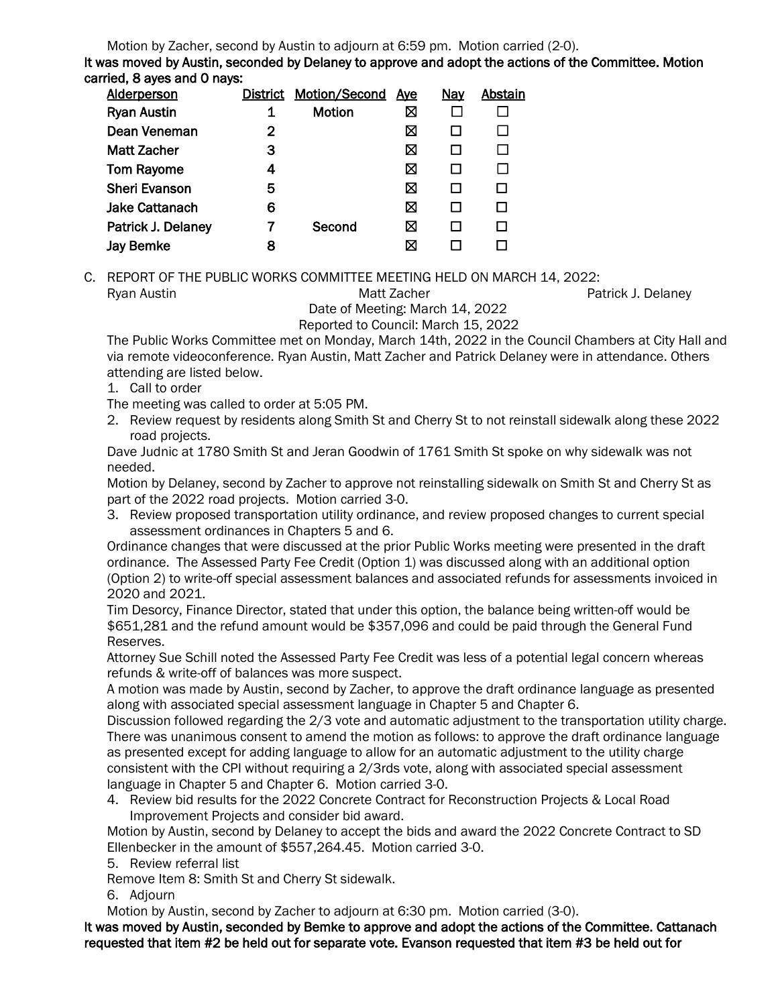Motion by Zacher, second by Austin to adjourn at 6:59 pm. Motion carried (2-0).

It was moved by Austin, seconded by Delaney to approve and adopt the actions of the Committee. Motion carried, 8 ayes and 0 nays:

| <b>Alderperson</b>    |   | <b>District Motion/Second</b> | <u>Aye</u> | <b>Nay</b> | Abstain |
|-----------------------|---|-------------------------------|------------|------------|---------|
| <b>Ryan Austin</b>    |   | <b>Motion</b>                 | ⊠          |            |         |
| Dean Veneman          | 2 |                               | ⊠          |            |         |
| <b>Matt Zacher</b>    | З |                               | ⊠          |            |         |
| <b>Tom Rayome</b>     |   |                               | ⊠          |            |         |
| <b>Sheri Evanson</b>  | 5 |                               | ⊠          |            |         |
| <b>Jake Cattanach</b> | 6 |                               | ⊠          |            |         |
| Patrick J. Delaney    |   | Second                        | ⊠          |            |         |
| <b>Jay Bemke</b>      | 8 |                               | ⊠          |            |         |
|                       |   |                               |            |            |         |

C. REPORT OF THE PUBLIC WORKS COMMITTEE MEETING HELD ON MARCH 14, 2022: Ryan Austin **Matt Zacher** Patrick J. Delaney **Matt Zacher** Patrick J. Delaney

 Date of Meeting: March 14, 2022 Reported to Council: March 15, 2022

The Public Works Committee met on Monday, March 14th, 2022 in the Council Chambers at City Hall and via remote videoconference. Ryan Austin, Matt Zacher and Patrick Delaney were in attendance. Others attending are listed below.

1. Call to order

The meeting was called to order at 5:05 PM.

2. Review request by residents along Smith St and Cherry St to not reinstall sidewalk along these 2022 road projects.

Dave Judnic at 1780 Smith St and Jeran Goodwin of 1761 Smith St spoke on why sidewalk was not needed.

Motion by Delaney, second by Zacher to approve not reinstalling sidewalk on Smith St and Cherry St as part of the 2022 road projects. Motion carried 3-0.

3. Review proposed transportation utility ordinance, and review proposed changes to current special assessment ordinances in Chapters 5 and 6.

Ordinance changes that were discussed at the prior Public Works meeting were presented in the draft ordinance. The Assessed Party Fee Credit (Option 1) was discussed along with an additional option (Option 2) to write-off special assessment balances and associated refunds for assessments invoiced in 2020 and 2021.

Tim Desorcy, Finance Director, stated that under this option, the balance being written-off would be \$651,281 and the refund amount would be \$357,096 and could be paid through the General Fund Reserves.

Attorney Sue Schill noted the Assessed Party Fee Credit was less of a potential legal concern whereas refunds & write-off of balances was more suspect.

A motion was made by Austin, second by Zacher, to approve the draft ordinance language as presented along with associated special assessment language in Chapter 5 and Chapter 6.

Discussion followed regarding the 2/3 vote and automatic adjustment to the transportation utility charge. There was unanimous consent to amend the motion as follows: to approve the draft ordinance language as presented except for adding language to allow for an automatic adjustment to the utility charge consistent with the CPI without requiring a 2/3rds vote, along with associated special assessment language in Chapter 5 and Chapter 6. Motion carried 3-0.

4. Review bid results for the 2022 Concrete Contract for Reconstruction Projects & Local Road Improvement Projects and consider bid award.

Motion by Austin, second by Delaney to accept the bids and award the 2022 Concrete Contract to SD Ellenbecker in the amount of \$557,264.45. Motion carried 3-0.

5. Review referral list

Remove Item 8: Smith St and Cherry St sidewalk.

6. Adjourn

Motion by Austin, second by Zacher to adjourn at 6:30 pm. Motion carried (3-0).

It was moved by Austin, seconded by Bemke to approve and adopt the actions of the Committee. Cattanach requested that item #2 be held out for separate vote. Evanson requested that item #3 be held out for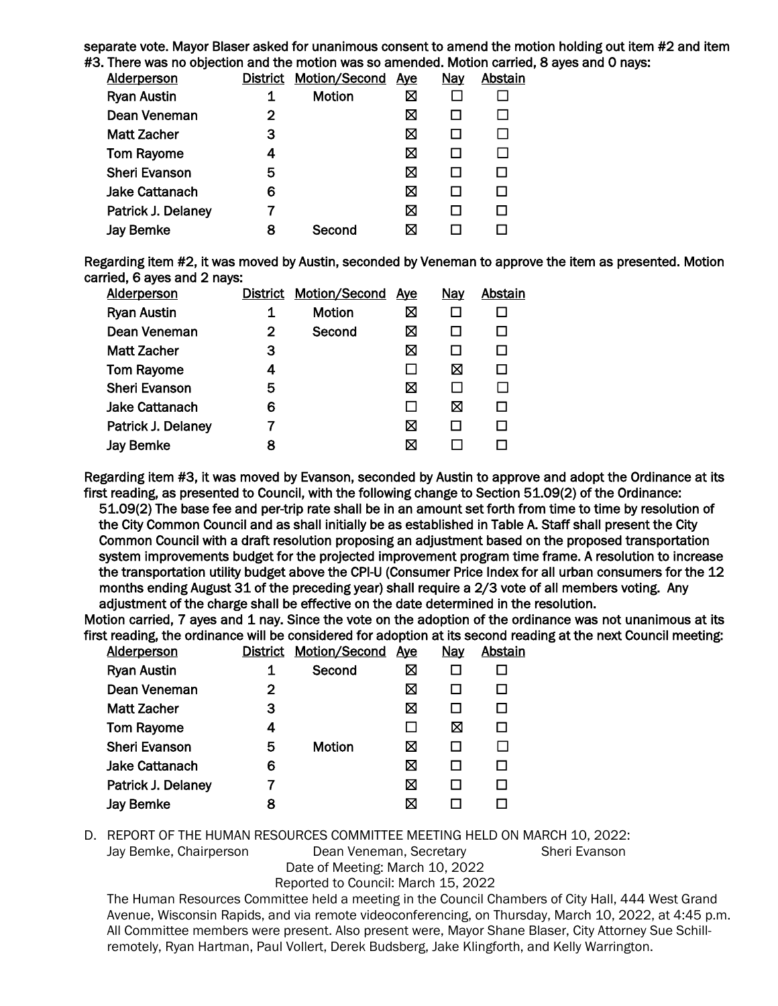separate vote. Mayor Blaser asked for unanimous consent to amend the motion holding out item #2 and item #3. There was no objection and the motion was so amended. Motion carried, 8 ayes and 0 nays:

| <b>Alderperson</b>    |   | District Motion/Second | <u>Ave</u> | <b>Nay</b> | Abstain |
|-----------------------|---|------------------------|------------|------------|---------|
| <b>Ryan Austin</b>    | 1 | Motion                 | ⊠          |            |         |
| Dean Veneman          | 2 |                        | ⊠          |            |         |
| <b>Matt Zacher</b>    | З |                        | ⊠          |            |         |
| <b>Tom Rayome</b>     |   |                        | ⊠          |            |         |
| <b>Sheri Evanson</b>  | 5 |                        | ⊠          |            |         |
| <b>Jake Cattanach</b> | 6 |                        | ⊠          |            |         |
| Patrick J. Delaney    |   |                        | ⊠          |            |         |
| <b>Jay Bemke</b>      | 8 | Second                 | ⊠          |            |         |
|                       |   |                        |            |            |         |

Regarding item #2, it was moved by Austin, seconded by Veneman to approve the item as presented. Motion carried, 6 ayes and 2 nays:

|   |               | <u>Ave</u>                    | <u>Nay</u>   | <b>Abstain</b> |
|---|---------------|-------------------------------|--------------|----------------|
| 1 | <b>Motion</b> | ⊠                             |              |                |
| 2 | Second        | ⊠                             |              | П              |
| 3 |               | ⊠                             | H            | П              |
| 4 |               | П                             | ⊠            | П              |
| 5 |               | ⊠                             | $\mathbf{I}$ | П              |
| 6 |               | $\mathbf{I}$                  | ⊠            | □              |
|   |               | ⊠                             | $\mathsf{L}$ | П              |
| 8 |               | ⊠                             |              |                |
|   |               | <b>District Motion/Second</b> |              |                |

Regarding item #3, it was moved by Evanson, seconded by Austin to approve and adopt the Ordinance at its first reading, as presented to Council, with the following change to Section 51.09(2) of the Ordinance:

51.09(2) The base fee and per-trip rate shall be in an amount set forth from time to time by resolution of the City Common Council and as shall initially be as established in Table A. Staff shall present the City Common Council with a draft resolution proposing an adjustment based on the proposed transportation system improvements budget for the projected improvement program time frame. A resolution to increase the transportation utility budget above the CPI-U (Consumer Price Index for all urban consumers for the 12 months ending August 31 of the preceding year) shall require a 2/3 vote of all members voting. Any adjustment of the charge shall be effective on the date determined in the resolution.

Motion carried, 7 ayes and 1 nay. Since the vote on the adoption of the ordinance was not unanimous at its first reading, the ordinance will be considered for adoption at its second reading at the next Council meeting:<br>Aldernarson District Motion/Second Ave Nav Abstain

| <b>Alderperson</b>    | <b>District</b> | <b>Motion/Second</b> | Aye | Nay          | Abstain |
|-----------------------|-----------------|----------------------|-----|--------------|---------|
| <b>Ryan Austin</b>    | 1               | Second               | ⊠   |              |         |
| Dean Veneman          | 2               |                      | ⊠   | $\Box$       | $\Box$  |
| <b>Matt Zacher</b>    | З               |                      | ⊠   | ப            | □       |
| <b>Tom Rayome</b>     | 4               |                      |     | ⊠            | $\Box$  |
| <b>Sheri Evanson</b>  | 5               | <b>Motion</b>        | ⊠   | П            | П       |
| <b>Jake Cattanach</b> | 6               |                      | ⊠   | $\mathsf{L}$ | П       |
| Patrick J. Delaney    | 7               |                      | ⊠   | $\mathsf{L}$ | П       |
| <b>Jay Bemke</b>      | 8               |                      | ⊠   |              |         |
|                       |                 |                      |     |              |         |

D. REPORT OF THE HUMAN RESOURCES COMMITTEE MEETING HELD ON MARCH 10, 2022:

Jay Bemke, Chairperson Dean Veneman, Secretary Sheri Evanson

Date of Meeting: March 10, 2022

Reported to Council: March 15, 2022

The Human Resources Committee held a meeting in the Council Chambers of City Hall, 444 West Grand Avenue, Wisconsin Rapids, and via remote videoconferencing, on Thursday, March 10, 2022, at 4:45 p.m. All Committee members were present. Also present were, Mayor Shane Blaser, City Attorney Sue Schillremotely, Ryan Hartman, Paul Vollert, Derek Budsberg, Jake Klingforth, and Kelly Warrington.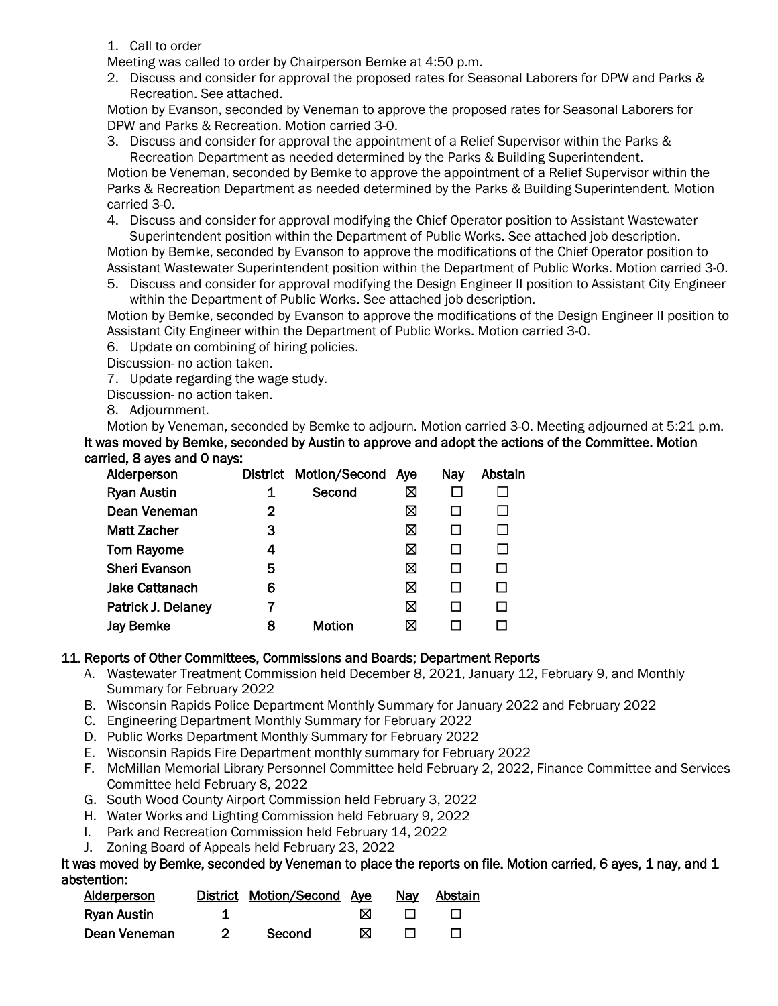- 1. Call to order
- Meeting was called to order by Chairperson Bemke at 4:50 p.m.
- 2. Discuss and consider for approval the proposed rates for Seasonal Laborers for DPW and Parks & Recreation. See attached.

Motion by Evanson, seconded by Veneman to approve the proposed rates for Seasonal Laborers for DPW and Parks & Recreation. Motion carried 3-0.

3. Discuss and consider for approval the appointment of a Relief Supervisor within the Parks & Recreation Department as needed determined by the Parks & Building Superintendent.

Motion be Veneman, seconded by Bemke to approve the appointment of a Relief Supervisor within the Parks & Recreation Department as needed determined by the Parks & Building Superintendent. Motion carried 3-0.

4. Discuss and consider for approval modifying the Chief Operator position to Assistant Wastewater Superintendent position within the Department of Public Works. See attached job description.

Motion by Bemke, seconded by Evanson to approve the modifications of the Chief Operator position to Assistant Wastewater Superintendent position within the Department of Public Works. Motion carried 3-0.

5. Discuss and consider for approval modifying the Design Engineer II position to Assistant City Engineer within the Department of Public Works. See attached job description.

Motion by Bemke, seconded by Evanson to approve the modifications of the Design Engineer II position to Assistant City Engineer within the Department of Public Works. Motion carried 3-0.

6. Update on combining of hiring policies.

Discussion- no action taken.

7. Update regarding the wage study.

Discussion- no action taken.

8. Adjournment.

Motion by Veneman, seconded by Bemke to adjourn. Motion carried 3-0. Meeting adjourned at 5:21 p.m. It was moved by Bemke, seconded by Austin to approve and adopt the actions of the Committee. Motion carried, 8 ayes and 0 nays:

| <b>Alderperson</b>    |   | <b>District Motion/Second</b> | <u>Ave</u> | <b>Nay</b> | Abstain |
|-----------------------|---|-------------------------------|------------|------------|---------|
| <b>Ryan Austin</b>    |   | Second                        | ⊠          |            |         |
| Dean Veneman          | 2 |                               | ⊠          |            |         |
| <b>Matt Zacher</b>    | 3 |                               | ⊠          |            |         |
| <b>Tom Rayome</b>     | 4 |                               | ⊠          |            |         |
| <b>Sheri Evanson</b>  | 5 |                               | ⊠          |            |         |
| <b>Jake Cattanach</b> | 6 |                               | ⊠          |            |         |
| Patrick J. Delaney    |   |                               | ⊠          |            |         |
| <b>Jay Bemke</b>      | 8 | <b>Motion</b>                 | ⊠          |            |         |
|                       |   |                               |            |            |         |

# 11. Reports of Other Committees, Commissions and Boards; Department Reports

- A. Wastewater Treatment Commission held December 8, 2021, January 12, February 9, and Monthly Summary for February 2022
- B. Wisconsin Rapids Police Department Monthly Summary for January 2022 and February 2022
- C. Engineering Department Monthly Summary for February 2022
- D. Public Works Department Monthly Summary for February 2022
- E. Wisconsin Rapids Fire Department monthly summary for February 2022
- F. McMillan Memorial Library Personnel Committee held February 2, 2022, Finance Committee and Services Committee held February 8, 2022
- G. South Wood County Airport Commission held February 3, 2022
- H. Water Works and Lighting Commission held February 9, 2022
- I. Park and Recreation Commission held February 14, 2022
- J. Zoning Board of Appeals held February 23, 2022

It was moved by Bemke, seconded by Veneman to place the reports on file. Motion carried, 6 ayes, 1 nay, and 1 abstention:

| Alderperson  | District Motion/Second Ave |   | Nav | Abstain |
|--------------|----------------------------|---|-----|---------|
| Ryan Austin  |                            | м |     |         |
| Dean Veneman | Second                     | ⋈ |     |         |